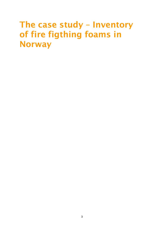# **The case study – Inventory of fire figthing foams in Norway**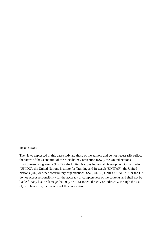## **Disclaimer**

The views expressed in this case study are those of the authors and do not necessarily reflect the views of the Secretariat of the Stockholm Convention (SSC), the United Nations Environment Programme (UNEP), the United Nations Industrial Development Organization (UNIDO), the United Nations Institute for Training and Research (UNITAR), the United Nations (UN) or other contributory organizations. SSC, UNEP, UNIDO, UNITAR or the UN do not accept responsibility for the accuracy or completeness of the contents and shall not be liable for any loss or damage that may be occasioned, directly or indirectly, through the use of, or reliance on, the contents of this publication.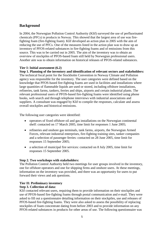# **Background**

In 2004, the Norwegian Pollution Control Authority (Klif) surveyed the use of perfluorinated chemicals (PFCs) in products in Norway. This showed that the largest area of use was firefighting foam (fire-fighting foam). Klif developed an action plan in 2005 with the aim of reducing the use of PFCs. One of the measures listed in the action plan was to draw up an inventory of PFOS-related substances in fire-fighting foams and of emissions from this source. This was to be carried out in 2005. The aim of the inventory was to obtain an overview of stockpiles of PFOS-based foam still held by Norwegian professional users. Another aim was to obtain information on historical releases of PFOS-related substances.

## **Tier I: Initial assessment (6.2)**

**Step 1. Planning of the inventory and identification of relevant sectors and stakeholders:** The technical focal point for the Stockholm Convention in Norway Climate and Pollution agency was responsible for the inventory. The user categories were defined based on the knowledge that PFOS-based fire-fighting foams are used in facilities and installations where large quantities of flammable liquids are used or stored, including offshore installations, refineries, tank farms, tankers, ferries and ships, airports and certain industrial plants. The relevant professional users of PFOS-based fire-fighting foams were identified using phone books, web search and through telephone interviews with industrial associations and suppliers. A consultant was engaged by Klif to compile the responses, calculate and assess overall stockpiles and historical emissions.

The following user categories were identified:

- operators of fixed offshore oil and gas installations on the Norwegian continental shelf: contacted on 17 March 2005, time limit for responses 1 June 2005;
- refineries and onshore gas terminals, tank farms, airports, the Norwegian Armed Forces, relevant industrial enterprises, fire-fighting training sites, tanker companies and a selection of passenger ferries: contacted on 28 June 2005, time limit for responses 15 September 2005;
- a selection of municipal fire services: contacted on 8 July 2005, time limit for responses 15 September 2005.

## **Step 2. Two workshops with stakeholders:**

The Pollution Control Authority held two meetings for user groups involved in the inventory, one for offshore operators and one for shipping firms and onshore users. At these meetings, information on the inventory was provided, and there was an opportunity for users to put forward their views and ask questions.

## **Tier II: Preliminary inventory**

## **Step 3. Collection of data:**

Klif contacted relevant users, requiring them to provide information on their stockpiles and use of PFOS-based fire-fighting foams through postal communication and e-mail. They were asked to fill out a questionnaire detailing information on their stockpiles, use and releases of PFOS-based fire-fighting foams. They were also asked to assess the possibility of replacing stockpiles of foam concentrate dating from before 2003 and to provide information on any PFOS-related substances in products for other areas of use. The following questionnaire was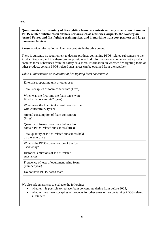used:

**Questionnaire for inventory of fire-fighting foam concentrate and any other areas of use for PFOS-related substances in onshore sectors such as refineries, airports, the Norwegian Armed Forces and fire-fighting training sites, and in maritime transport (tankers and large passenger ferries).**

Please provide information on foam concentrate in the table below.

There is currently no requirement to declare products containing PFOS-related substances to the Product Register, and it is therefore not possible to find information on whether or not a product contains these substances from the safety data sheet. Information on whether fire-fighting foam or other products contain PFOS-related substances can be obtained from the supplier.

*Table 1: Information on quantities of fire-fighting foam concentrate*

| Enterprise, operating unit or other user                                             |  |
|--------------------------------------------------------------------------------------|--|
| Total stockpiles of foam concentrate (litres)                                        |  |
| When was the first time the foam tanks were<br>filled with concentrate? (year)       |  |
| When were the foam tanks most recently filled<br>with concentrate? (year)            |  |
| Annual consumption of foam concentrate<br>(litres)                                   |  |
| Quantity of foam concentrate believed to<br>contain PFOS-related substances (litres) |  |
| Total quantity of PFOS-related substances held<br>by the enterprise                  |  |
| What is the PFOS concentration of the foam<br>used today?                            |  |
| Historical emissions of PFOS-related<br>substances                                   |  |
| Frequency of tests of equipment using foam<br>(number/year)                          |  |
| Do not have PFOS-based foam                                                          |  |

We also ask enterprises to evaluate the following:

- whether it is possible to replace foam concentrate dating from before 2003;
- whether they have stockpiles of products for other areas of use containing PFOS-related substances.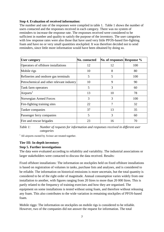## **Step 4. Evaluation of received information:**

The number and rate of the responses were compiled in table 1. Table 1 shows the number of users contacted and the responses received in each category. There was no system of reminders to increase the response rate. The responses received were considered to be sufficient in number and quality to satisfy the purpose of the inventory. The user categories with low response rates were also those that have used very little PFOS-based fire-fighting foam and have no or very small quantities stockpiled. It was therefore decided not to send reminders, since little more information would have been obtained by doing so.

| <b>User category</b>                      | No. contacted | No. of responses Response % |     |
|-------------------------------------------|---------------|-----------------------------|-----|
| Operators of offshore installations       | 12            | 12                          | 100 |
| Mobile rigs                               | 10            | 8                           | 80  |
| Refineries and onshore gas terminals      | 5             | 5                           | 100 |
| Petrochemical and other relevant industry | 10            | 9                           | 90  |
| Tank farm operators                       | 5             | 3                           | 60  |
| Airports <sup>1</sup>                     | 13            | 10                          | 78  |
| Norwegian Armed Forces                    | 3             | 3                           | 100 |
| Fire-fighting training sites              | 22            | 7                           | 32  |
| Tanker companies                          | 37            | 13                          | 35  |
| Passenger ferry companies                 | 5             | 3                           | 60  |
| Fire and rescue brigades                  | 23            | 16                          | 70  |

*Table 1: Number of requests for information and responses received in different user categories* 

 $<sup>1</sup>$  All airports owned by Avinor are treated together.</sup>

# **Tier III: In-depth inventory**

## **Step 5. Further investigations**

The data were evaluated according to reliability and variability. The industrial associations or larger stakeholders were contacted to discuss the data received. Results:

Fixed offshore installations: The information on stockpiles held on fixed offshore installations is based on registration of volumes in tanks, purchase lists and analyses, and is considered to be reliable. The information on historical emissions is more uncertain, but the total quantity is considered to be of the right order of magnitude. Annual consumption varies widely from one installation to another, with figures ranging from 20 litres to more than 20 000 litres. This is partly related to the frequency of training exercises and how they are organised. The equipment on some installations is tested without using foam, and therefore without releasing any foam. This also contributes to the wide variation in remaining stockpiles of PFOS-based foam.

Mobile riggs: The information on stockpiles on mobile rigs is considered to be reliable. However, two of the companies did not answer the request for information. The total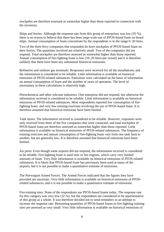stockpiles are therefore assessed as somewhat higher than those reported in connection with the inventory.

Ships and ferries: Although the response rate from this group of enterprises was low (35 %), there is no reason to believe that there has been large-scale use of PFOS-based foam on board ships. Annual consumption of foam concentrate by the respondents is in the range 0–20 litres.

Two of the three ferry companies that responded do have stockpiles of PFOS-based foam on their ferries. The quantities involved are relatively small. Two of the companies did not respond. Total stockpiles are therefore assessed as somewhat higher than those reported. Annual consumption of fire-fighting foam is low (10–20 litres per vessel) and it is therefore unlikely that there have been any substantial historical emissions.

Refineries and onshore gas terminals: Responses were received for all the installations, and the information is considered to be reliable. Little information is available on historical emissions of PFOS-related substances. Emissions were calculated on the basis of information on annual consumption of foam and the number of years of operation. The level of uncertainty in these calculations is relatively high.

Petrochemical and other relevant industries: One enterprise did not respond, but otherwise the information received is considered to be reliable. Little information is available on historical emissions of PFOS-related substances. Most respondents reported low consumption of firefighting foam, and very few training exercises involving the use of PFOS-based foam. It is therefore assumed that historical emissions have been limited.

Tank farms: The information received is considered to be reliable. However, responses were only received from three of the five companies that were contacted, and total stockpiles of PFOS-based foam are therefore assessed as somewhat higher than those reported. Little information is available on historical emissions of PFOS-related substances. The frequency of training exercises and annual consumption of fire-fighting foam vary from one tank farm to another, but are generally low. It is therefore assumed that historical emissions have been limited.

Air ports: Even though some airports did not respond, the information received is considered to be reliable. Fire-fighting foam is used only in fire engines, which carry very limited amounts of foam. Very little information is available on historical emissions of PFOS-related substances. It is likely that PFOS-based foam has previously been used at many of the airports, but it is not possible to make a quantitative estimate of emissions.

The Norwegian Armed Forces: The Armed Forces indicated that the figures they have provided are uncertain. Very little information is available on historical emissions of PFOSrelated substances, and it is not possible to make a quantitative estimate of emissions.

Fire-training sites: None of the respondents use PFOS-based foams today. The response rate for this category was very low (32 %), but the respondents are considered to be representative of this group as a whole. It was therefore decided not to send reminders in an attempt to increase the response rate. Remaining quantities of PFOS-based foams at fire-fighting training sites are assessed as very small. Very little information is available on historical emissions of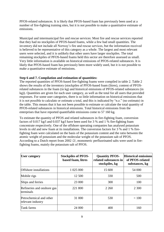PFOS-related substances. It is likely that PFOS-based foam has previously been used at a number of fire-fighting training sites, but it is not possible to make a quantitative estimate of emissions.

Municipal and intermunicipal fire and rescue services: Most fire and rescue services reported that they had no stockpiles of PFOS-based foams, while a few had small quantities. The inventory did not include all Norway's fire and rescue services, but the information received is believed to be representative of this category as a whole. The largest and most relevant users were selected, and it is unlikely that other users have larger stockpiles. The total remaining stockpiles of PFOS-based foams held this sector are therefore assessed as small. Very little information is available on historical emissions of PFOS-related substances. It is likely that PFOS-based foam has previously been more widely used, but it is not possible to make a quantitative estimate of emissions.

#### **Step 6 and 7. Compilation and estimation of quantities:**

The reported quantities of PFOS-based fire-fighting foams were compiled in table 2. Table 2 shows the results of the inventory (stockpiles of PFOS-based foam (litres), content of PFOSrelated substances in the foam (in kg) and historical emissions of PFOS-related substances (in kg)). Quantities are given for each user category, as well as the total for all users that provided responses. For some user categories, there is so little information on historical emissions that it is not possible to calculate or estimate a total, and this is indicated by "n.e." (no estimate) in the table. This means that it has not been possible to estimate or calculate the total quantity of PFOS-related substances in historical emissions. Total historical emissions from the enterprises that have reported quantifiable emissions come to 57 160 kg.

To estimate the quantity of PFOS and related substances in fire-fighting foam, conversion factors of 0.017 kg/l and 0.037 kg/l have been used for 3 % and 1 % fire-fighting foam concentrate respectively. One of the offshore operating companies has analysed potassium levels in old and new foam at its installations. The conversion factors for 3 % and 1 % firefighting foam were calculated on the basis of the potassium content and the ratio between the atomic weight of potassium and the molecular weight of the potassium salt of PFOS. According to a Dutch report from 2002 /2/, monomeric perfluorinated salts were used in firefighting foams, mainly the potassium salt of PFOS.

| <b>User category</b>                         | <b>Stockpiles of PFOS-</b><br>based foam, litres | <b>Quantity PFOS-</b><br>related substances in<br>stockpiles, kg | <b>Historical emissions</b><br>of PFOS-related<br>substances, kg |
|----------------------------------------------|--------------------------------------------------|------------------------------------------------------------------|------------------------------------------------------------------|
| Offshore installations                       | 1 025 000                                        | 15 600                                                           | 54 000                                                           |
| Mobile rigs                                  | 12 500                                           | 330                                                              | 500                                                              |
| Ships and ferries                            | 23 000                                           | 300                                                              | 100                                                              |
| Refineries and onshore gas<br>terminals      | 221 800                                          | 2 2 6 0                                                          | 2 3 0 0                                                          |
| Petrochemical and other<br>relevant industry | 31 000                                           | 530                                                              | < 100                                                            |
| Tank farms                                   | 24 000                                           | 400                                                              | 160                                                              |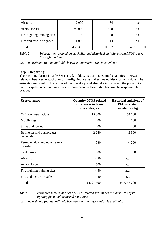| <b>Airports</b>              | 2 0 0 0   | 34     | n.e.        |
|------------------------------|-----------|--------|-------------|
| Armed forces                 | 90 000    | 1 500  | n.e.        |
| Fire-fighting training sites |           |        | n.e.        |
| Fire and rescue brigades     | 1 000     | 13     | n.e.        |
| Total                        | 1 430 300 | 20 967 | min. 57 160 |

*Table 2: Information received on stockpiles and historical emissions from PFOS-based fire-fighting foams.*

*n.e. = no estimate (not quantifiable because information was incomplete)*

#### **Step 8. Reporting:**

The reporting format in table 3 was used. Table 3 lists estimated total quantities of PFOSrelated substances in stockpiles of fire-fighting foams and estimated historical emissions. The estimates are based on the results of the inventory, and also take into account the possibility that stockpiles in certain branches may have been underreported because the response rate was low.

| <b>User category</b>                         | <b>Quantity PFOS-related</b><br>substances in foam<br>stockpiles, kg | <b>Historical emissions of</b><br><b>PFOS-related</b><br>substances, kg |
|----------------------------------------------|----------------------------------------------------------------------|-------------------------------------------------------------------------|
| <b>Offshore</b> installations                | 15 600                                                               | 54 000                                                                  |
| Mobile rigs                                  | 400                                                                  | 700                                                                     |
| Ships and ferries                            | 400                                                                  | 200                                                                     |
| Refineries and onshore gas<br>terminals      | 2 2 6 0                                                              | 2 3 0 0                                                                 |
| Petrochemical and other relevant<br>industry | 530                                                                  | < 200                                                                   |
| Tank farms                                   | 600                                                                  | < 200                                                                   |
| Airports                                     | < 50                                                                 | n.e.                                                                    |
| <b>Armed forces</b>                          | 1 500                                                                | n.e.                                                                    |
| Fire-fighting training sites                 | < 50                                                                 | n.e.                                                                    |
| Fire and rescue brigades                     | < 50                                                                 | n.e.                                                                    |
| Total                                        | ca. 21 500                                                           | min. 57 600                                                             |

## *Table 3: Estimated total quantities of PFOS-related substances in stockpiles of firefighting foam and historical emissions*

*n.e. = no estimate (not quantifiable because too little information is available)*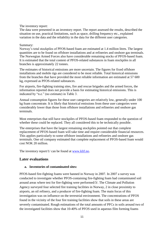#### The inventory report:

The data were presented in an inventory report. The report assessed the results, described the situation on use, practical limitations, such as space, drilling frequency etc., explained variation in the data and the reliability in the data for the different user categories.

#### Summary:

Norway's total stockpiles of PFOS-based foam are estimated at 1.4 million litres. The largest quantities are to be found on offshore installations and at refineries and onshore gas terminals. The Norwegian Armed Forces also have considerable remaining stocks of PFOS-based foam. It is estimated that the total content of PFOS-related substances in foam stockpiles in all branches is approximately 22 tonnes.

The estimates of historical emissions are more uncertain. The figures for fixed offshore installations and mobile rigs are considered to be most reliable. Total historical emissions from the branches that have provided the most reliable information are estimated at 57 600 kg, expressed as PFOS-related substances.

For airports, fire-fighting training sites, fire and rescue brigades and the armed forces, the information reported does not provide a basis for estimating historical emissions. This is indicated by "n.e." (no estimate) in Table 3.

Annual consumption figures for these user categories are relatively low, generally under 100 kg foam concentrate. It is likely that historical emissions from these user categories were considerably lower than those from offshore installations and refineries and onshore gas terminals.

Most enterprises that still have stockpiles of PFOS-based foam responded to the question of whether these could be replaced. They all considered this to be technically possible.

The enterprises that have the largest remaining stockpiles pointed out that complete replacement of PFOS-based foam will take time and require considerable financial resources. This applies particularly to some offshore installations and refineries and onshore gas terminals. One oil company estimated that complete replacement of PFOS-based foam would cost NOK 20 million.

The inventory report/1/ can be found at [www.klif.no.](http://www.klif.no/)

# **Later evaluations**

## **a. Inventories of contaminated sites:**

PFOS-based fire-fighting foams were banned in Norway in 2007. In 2007 a survey was conducted to investigate whether PFOS-containing fire-fighting foam had contaminated soil around areas where test for fire-fighting were performed/3/. The Climate and Pollution Agency surveyed four selected fire training facilities in Norway, 2 in close proximity to airports, an oil refinery, and a producer of fire-fighting foam. The main focus of this investigation was on influence on the terrestrial environment. The concentrations of PFOS found in the vicinity of the four fire training facilities show that soils in these areas are severely contaminated. Rough estimations of the total amounts of PFCs in soils around two of the investigated facilities show that 10-40% of PFOS used in aqueous film forming foams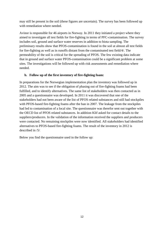may still be present in the soil (these figures are uncertain). The survey has been followed up with remediation where needed.

Avinor is responsible for 46 airports in Norway. In 2011 they initiated a project where they aimed to investigate all test fields for fire-fighting in terms of PFC-contamination. The survey includes soil, ground and surface water reserves in addition to biota sampling. The preliminary results show that PFOS-contamination is found in the soil at almost all test fields for fire-fighting as well as in runoffs distant from the contaminated test field/4/. The permeability of the soil is critical for the spreading of PFOS. The few existing data indicate that in ground and surface water PFOS-contamination could be a significant problem at some sites. The investigations will be followed up with risk assessments and remediation where needed.

## **b. Follow up of the first inventory of fire-fighting foam:**

In preparations for the Norwegian implementation plan the inventory was followed up in 2012. The aim was to see if the obligation of phasing out of fire-fighting foams had been fulfilled, and to identify alternatives. The same list of stakeholders was then contacted as in 2005 and a questionnaire was developed. In 2011 it was discovered that one of the stakeholders had not been aware of the list of PFOS related substances and still had stockpiles with PFOS-based fire-fighting foams after the ban in 2007. The leakage from the stockpiles had led to contamination of a local site. The questionnaire was therefor sent out together with the OECD list of PFOS related substances. In addition Klif asked for contact details to the suppliers/producers. In the validation of the information received the suppliers and producers were contacted. No remaining stockpiles were now identified. All stakeholders had identified alternatives to PFOS-based fire-fighting foams. The result of the inventory in 2012 is described in  $/5/$ .

Below you find the questionnaire used in the follow up: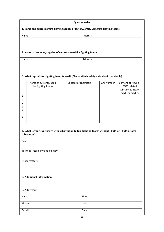| Questionnaire                                                                            |         |  |
|------------------------------------------------------------------------------------------|---------|--|
| 1. Name and address of fire-fighting agency or factory/entity using fire-fighting foams: |         |  |
| Name                                                                                     | Address |  |
|                                                                                          |         |  |
|                                                                                          |         |  |

#### **2. Name of producer/supplier of currently used fire fighting foams**

| Name | Address |
|------|---------|
|      |         |
|      |         |

#### **3. What type of fire-fighting foam is used? (Please attach safety data sheet if available)**

|   | Name of currently used<br>fire fighting foams | Content of chemicals | CAS number. | Content of PFOS or<br>PFOS related<br>substances (%, or<br>mg/L, or mg/kg) |
|---|-----------------------------------------------|----------------------|-------------|----------------------------------------------------------------------------|
| 1 |                                               |                      |             |                                                                            |
| 2 |                                               |                      |             |                                                                            |
| 3 |                                               |                      |             |                                                                            |
| 4 |                                               |                      |             |                                                                            |
| 5 |                                               |                      |             |                                                                            |
| 6 |                                               |                      |             |                                                                            |
| 7 |                                               |                      |             |                                                                            |
| 8 |                                               |                      |             |                                                                            |

#### **4. What is your experience with substitution to fire-fighting foams without PFOS or PFOS related substances?**

| Cost                               |  |
|------------------------------------|--|
|                                    |  |
| Technical feasibility and efficacy |  |
|                                    |  |
| Other matters                      |  |
|                                    |  |
|                                    |  |

#### **5. Additional information**

#### **6. Addresser**

| Name:   | Title: |  |
|---------|--------|--|
| Phone:  | Unit:  |  |
| E-mail: | Date:  |  |